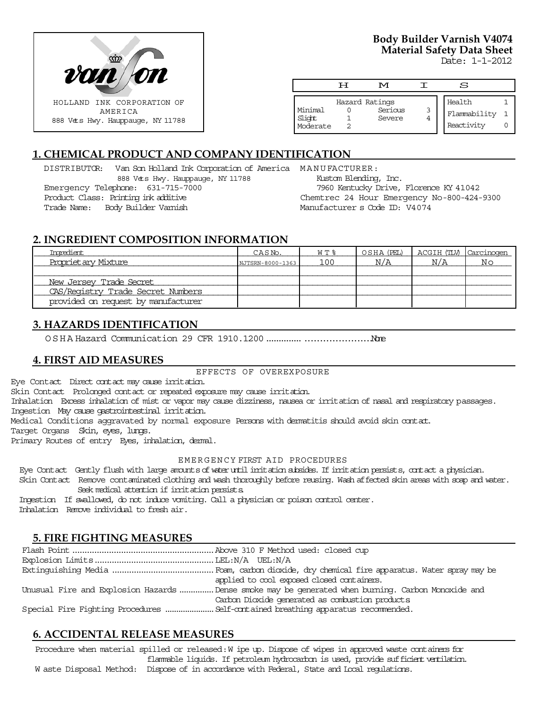

# **Body Builder Varnish V4074 Material Safety Data Sheet**

Date: 1-1-2012

|                               | H | M                                   | S                                    |  |
|-------------------------------|---|-------------------------------------|--------------------------------------|--|
| Minimal<br>Slight<br>Moderate |   | Hazard Ratings<br>Serious<br>Severe | Health<br>Flammability<br>Reactivity |  |

# **1. CHEMICAL PRODUCT AND COMPANY IDENTIFICATION**

DISTRIBUTOR: Van Son Holland Ink Corporation of America MANUFACTURER: 888 Vets Hwy. Hauppauge, NY 11788 Emergency Telephone: 631-715-7000 Product Class: Printing ink additive Trade Name: Body Builder Varnish

Kustom Blending, Inc. 7960 Kentucky Drive, Florence KY 41042 Chemtrec 24 Hour Emergency No-800-424-9300 Manufacturer s Code ID: V4074

## **2. INGREDIENT COMPOSITION INFORMATION**

| Imredient                           | CASN <sub>o</sub> . | $W T$ $\approx$ | OSHA (PEL) | ACGIH (TLV) Carcinogen |    |
|-------------------------------------|---------------------|-----------------|------------|------------------------|----|
| Propriet ary Mixture                | NJTSRN-8000-1363    | 100             | N/A        | N/A                    | No |
|                                     |                     |                 |            |                        |    |
| New Jersey Trade Secret             |                     |                 |            |                        |    |
| CAS/Registry Trade Secret Numbers   |                     |                 |            |                        |    |
| provided on request by manufacturer |                     |                 |            |                        |    |

# **3. HAZARDS IDENTIFICATION**

OSHA Hazard Communication 29 CFR 1910.1200....................................None

### **4. FIRST AID MEASURES**

#### EFFECTS OF OVEREXPOSURE

Eye Contact Direct contact may cause irritation.

Skin Contact Prolonged contact or repeated exposure may cause irritation.

Inhalation Excess inhalation of mist or vapor may cause dizziness, nausea or irritation of nasal and respiratory passages. Ingestion May cause gastrointestinal irritation.

Medical Conditions aggravated by normal exposure Persons with dermatitis should avoid skin contact.

Target Organs Skin, eyes, lungs.

Primary Routes of entry Eyes, inhalation, dermal.

#### EMERGENCY FIRST AID PROCEDURES

Eye Contact Gently flush with large amounts of water until irritation subsides. If irritation persists, contact a physician.

 Skin Contact Remove contaminated clothing and wash thoroughly before reusing. Wash affected skin areas with soap and water. Seek medical attention if irritation persists.

 Ingestion If swallowed, do not induce vomiting. Call a physician or poison control center. Inhalation Remove individual to fresh air.

# **5. FIRE FIGHTING MEASURES**

| applied to cool exposed closed containers.                                                        |
|---------------------------------------------------------------------------------------------------|
| Unusual Fire and Explosion Hazards Dense smoke may be generated when burning. Carbon Monoxide and |
| Carbon Dioxide generated as combustion products                                                   |
|                                                                                                   |

# **6. ACCIDENTAL RELEASE MEASURES**

Procedure when material spilled or released: W ipe up. Dispose of wipes in approved waste containers for flammable liquids. If petroleum hydrocarbon is used, provide sufficient ventilation. W aste Disposal Method: Dispose of in accordance with Federal, State and Local regulations.